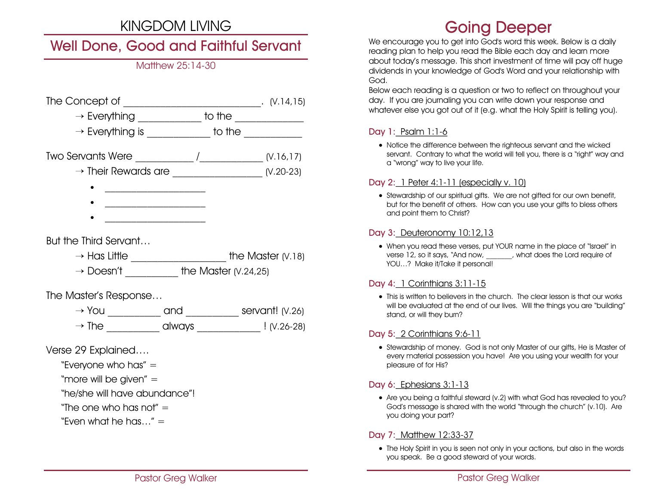## KINGDOM LIVING

## Well Done, Good and Faithful Servant

## Matthew 25:14-30

| The Concept of                  |                     | (V.14, 15)  |
|---------------------------------|---------------------|-------------|
| $\rightarrow$ Everything        | to the              |             |
| $\rightarrow$ Everything is     | to the              |             |
|                                 |                     | (V.16, 17)  |
| $\rightarrow$ Their Rewards are |                     | $(1.20-23)$ |
|                                 |                     |             |
|                                 |                     |             |
|                                 |                     |             |
| But the Third Servant           |                     |             |
| $\rightarrow$ Has Little        | the Master $(V.18)$ |             |

 $\rightarrow$  Doesn't the Master (V.24,25)

The Master's Response…

 $\rightarrow$  You  $\qquad \qquad$  and  $\qquad \qquad$  servant! (V.26)  $\rightarrow$  The  $\qquad \qquad \qquad$  always  $\qquad \qquad$  ! (V.26-28)

Verse 29 Explained….

- "Everyone who has" =
- "more will be given" =

"he/she will have abundance"!

"The one who has not"  $=$ 

"Even what he has..."  $=$ 

# Going Deeper

We encourage you to get into God's word this week. Below is a daily reading plan to help you read the Bible each day and learn more about today's message. This short investment of time will pay off huge dividends in your knowledge of God's Word and your relationship with God.

Below each reading is a question or two to reflect on throughout your day. If you are journaling you can write down your response and whatever else you got out of it (e.g. what the Holy Spirit is telling you).

## Day 1: Psalm 1:1-6

• Notice the difference between the righteous servant and the wicked servant. Contrary to what the world will tell you, there is a "right" way and a "wrong" way to live your life.

### Day 2: 1 Peter 4:1-11 (especially v. 10)

• Stewardship of our spiritual gifts. We are not gifted for our own benefit, but for the benefit of others. How can you use your gifts to bless others and point them to Christ?

### Day 3: Deuteronomy 10:12,13

• When you read these verses, put YOUR name in the place of "Israel" in verse 12, so it says, "And now, what does the Lord require of YOU...? Make it/Take it personal!

## Day 4: 1 Corinthians 3:11-15

• This is written to believers in the church. The clear lesson is that our works will be evaluated at the end of our lives. Will the things you are "building" stand, or will they burn?

## Day 5: 2 Corinthians 9:6-11

• Stewardship of money. God is not only Master of our gifts, He is Master of every material possession you have! Are you using your wealth for your pleasure of for His?

## Day 6: Ephesians 3:1-13

• Are you being a faithful steward (v.2) with what God has revealed to you? God's message is shared with the world "through the church" (v.10). Are you doing your part?

## Day 7: Matthew 12:33-37

• The Holy Spirit in you is seen not only in your actions, but also in the words you speak. Be a good steward of your words.